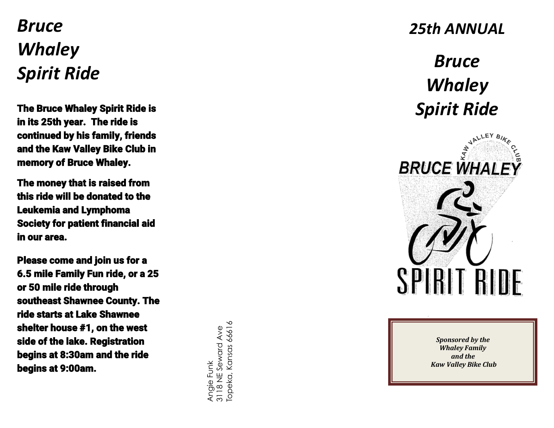## *Bruce Whaley Spirit Ride*

The Bruce Whaley Spirit Ride is in its 25th year. The ride is continued by his family, friends and the Kaw Valley Bike Club in memory of Bruce Whaley.

The money that is raised from this ride will be donated to the Leukemia and Lymphoma Society for patient financial aid in our area.

Please come and join us for a 6.5 mile Family Fun ride, or a 25 or 50 mile ride through southeast Shawnee County. The ride starts at Lake Shawnee shelter house # 1, on the west side of the lake. Registration begins at 8:30am and the ride begins at 9:00am.

Angie Funk<br>3118 NE Seward Ave<br>Topeka, Kansas 66616 3118 NE Seward Ave Topeka, Kansas 66616

## *25th ANNUAL*

## *Bruce Whaley Spirit Ride*



*Sponsored by the Whaley Family and the Kaw Valley Bike Club*